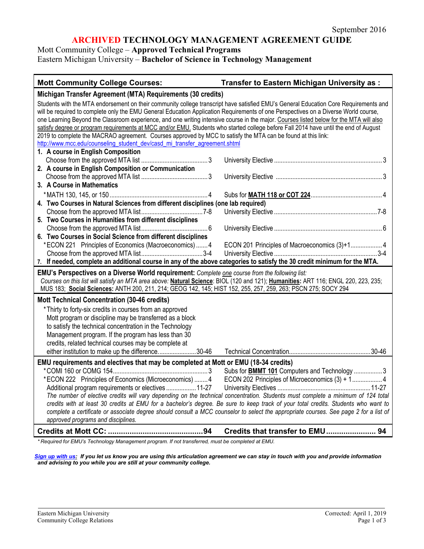## **ARCHIVED TECHNOLOGY MANAGEMENT AGREEMENT GUIDE**

Mott Community College – **Approved Technical Programs** Eastern Michigan University – **Bachelor of Science in Technology Management**

| <b>Mott Community College Courses:</b>                                                                                                                                                                                                                                                                                                                                                                                                                                                                                                                                                                                                                                                                                                                       | Transfer to Eastern Michigan University as :  |  |
|--------------------------------------------------------------------------------------------------------------------------------------------------------------------------------------------------------------------------------------------------------------------------------------------------------------------------------------------------------------------------------------------------------------------------------------------------------------------------------------------------------------------------------------------------------------------------------------------------------------------------------------------------------------------------------------------------------------------------------------------------------------|-----------------------------------------------|--|
| Michigan Transfer Agreement (MTA) Requirements (30 credits)                                                                                                                                                                                                                                                                                                                                                                                                                                                                                                                                                                                                                                                                                                  |                                               |  |
| Students with the MTA endorsement on their community college transcript have satisfied EMU's General Education Core Requirements and<br>will be required to complete only the EMU General Education Application Requirements of one Perspectives on a Diverse World course,<br>one Learning Beyond the Classroom experience, and one writing intensive course in the major. Courses listed below for the MTA will also<br>satisfy degree or program requirements at MCC and/or EMU. Students who started college before Fall 2014 have until the end of August<br>2019 to complete the MACRAO agreement. Courses approved by MCC to satisfy the MTA can be found at this link:<br>http://www.mcc.edu/counseling_student_dev/casd_mi_transfer_agreement.shtml |                                               |  |
| 1. A course in English Composition<br>2. A course in English Composition or Communication                                                                                                                                                                                                                                                                                                                                                                                                                                                                                                                                                                                                                                                                    |                                               |  |
| 3. A Course in Mathematics                                                                                                                                                                                                                                                                                                                                                                                                                                                                                                                                                                                                                                                                                                                                   |                                               |  |
| 4. Two Courses in Natural Sciences from different disciplines (one lab required)                                                                                                                                                                                                                                                                                                                                                                                                                                                                                                                                                                                                                                                                             |                                               |  |
| 5. Two Courses in Humanities from different disciplines                                                                                                                                                                                                                                                                                                                                                                                                                                                                                                                                                                                                                                                                                                      |                                               |  |
| 6. Two Courses in Social Science from different disciplines<br>*ECON 221 Principles of Economics (Macroeconomics)  4                                                                                                                                                                                                                                                                                                                                                                                                                                                                                                                                                                                                                                         | ECON 201 Principles of Macroeconomics (3)+1 4 |  |
| 7. If needed, complete an additional course in any of the above categories to satisfy the 30 credit minimum for the MTA.                                                                                                                                                                                                                                                                                                                                                                                                                                                                                                                                                                                                                                     |                                               |  |
| EMU's Perspectives on a Diverse World requirement: Complete one course from the following list:<br>Courses on this list will satisfy an MTA area above: Natural Science: BIOL (120 and 121); Humanities: ART 116; ENGL 220, 223, 235;<br>MUS 183; Social Sciences: ANTH 200, 211, 214; GEOG 142, 145; HIST 152, 255, 257, 259, 263; PSCN 275; SOCY 294                                                                                                                                                                                                                                                                                                                                                                                                       |                                               |  |
| Mott Technical Concentration (30-46 credits)                                                                                                                                                                                                                                                                                                                                                                                                                                                                                                                                                                                                                                                                                                                 |                                               |  |
| * Thirty to forty-six credits in courses from an approved<br>Mott program or discipline may be transferred as a block<br>to satisfy the technical concentration in the Technology<br>Management program. If the program has less than 30<br>credits, related technical courses may be complete at<br>either institution to make up the difference30-46                                                                                                                                                                                                                                                                                                                                                                                                       |                                               |  |
| EMU requirements and electives that may be completed at Mott or EMU (18-34 credits)                                                                                                                                                                                                                                                                                                                                                                                                                                                                                                                                                                                                                                                                          |                                               |  |
| Subs for <b>BMMT 101</b> Computers and Technology 3<br>ECON 202 Principles of Microeconomics (3) + 14<br>*ECON 222 Principles of Economics (Microeconomics)  4<br>Additional program requirements or electives  11-27<br>The number of elective credits will vary depending on the technical concentration. Students must complete a minimum of 124 total<br>credits with at least 30 credits at EMU for a bachelor's degree. Be sure to keep track of your total credits. Students who want to<br>complete a certificate or associate degree should consult a MCC counselor to select the appropriate courses. See page 2 for a list of<br>approved programs and disciplines.                                                                               |                                               |  |
|                                                                                                                                                                                                                                                                                                                                                                                                                                                                                                                                                                                                                                                                                                                                                              |                                               |  |

*\* Required for EMU's Technology Management program. If not transferred, must be completed at EMU.*

*[Sign up with us:](https://www.emich.edu/ccr/articulation-agreements/signup.php) If you let us know you are using this articulation agreement we can stay in touch with you and provide information and advising to you while you are still at your community college.*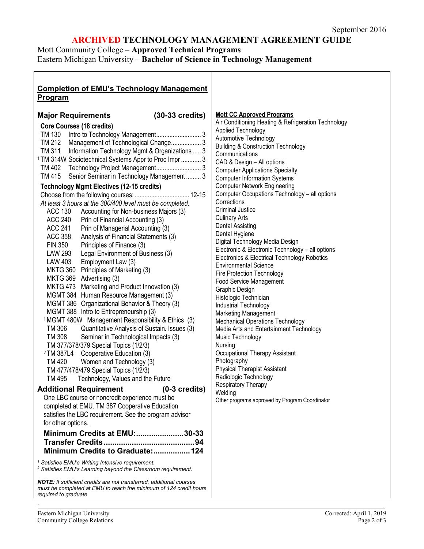# **ARCHIVED TECHNOLOGY MANAGEMENT AGREEMENT GUIDE**

Mott Community College – **Approved Technical Programs**

Eastern Michigan University – **Bachelor of Science in Technology Management**

| <b>Completion of EMU's Technology Management</b>                                                                                                                                                                                                                                                                                                                                                                                                                                                                                                                                                                                                                                                                                                                                                                                                                                                                                                                                                                                                                                                                                                                                                                                                                                                                                                                                                                                                                                                                                                                                                                                                                                                                                                                                                                                                                                                                                                                                                                                                                                                                                  |                                                                                                                                                                                                                                                                                                                                                                                                                                                                                                                                                                                                                                                                                                                                                                                                                                                                                                                                                                                                                                                                                                                                                                                              |
|-----------------------------------------------------------------------------------------------------------------------------------------------------------------------------------------------------------------------------------------------------------------------------------------------------------------------------------------------------------------------------------------------------------------------------------------------------------------------------------------------------------------------------------------------------------------------------------------------------------------------------------------------------------------------------------------------------------------------------------------------------------------------------------------------------------------------------------------------------------------------------------------------------------------------------------------------------------------------------------------------------------------------------------------------------------------------------------------------------------------------------------------------------------------------------------------------------------------------------------------------------------------------------------------------------------------------------------------------------------------------------------------------------------------------------------------------------------------------------------------------------------------------------------------------------------------------------------------------------------------------------------------------------------------------------------------------------------------------------------------------------------------------------------------------------------------------------------------------------------------------------------------------------------------------------------------------------------------------------------------------------------------------------------------------------------------------------------------------------------------------------------|----------------------------------------------------------------------------------------------------------------------------------------------------------------------------------------------------------------------------------------------------------------------------------------------------------------------------------------------------------------------------------------------------------------------------------------------------------------------------------------------------------------------------------------------------------------------------------------------------------------------------------------------------------------------------------------------------------------------------------------------------------------------------------------------------------------------------------------------------------------------------------------------------------------------------------------------------------------------------------------------------------------------------------------------------------------------------------------------------------------------------------------------------------------------------------------------|
| <b>Program</b>                                                                                                                                                                                                                                                                                                                                                                                                                                                                                                                                                                                                                                                                                                                                                                                                                                                                                                                                                                                                                                                                                                                                                                                                                                                                                                                                                                                                                                                                                                                                                                                                                                                                                                                                                                                                                                                                                                                                                                                                                                                                                                                    |                                                                                                                                                                                                                                                                                                                                                                                                                                                                                                                                                                                                                                                                                                                                                                                                                                                                                                                                                                                                                                                                                                                                                                                              |
| $(30-33 \text{ credits})$<br><b>Major Requirements</b><br><b>Core Courses (18 credits)</b><br>TM 212 Management of Technological Change 3<br>TM 311 Information Technology Mgmt & Organizations  3<br><sup>1</sup> TM 314W Sociotechnical Systems Appr to Proc Impr  3<br>TM 415<br>Senior Seminar in Technology Management  3<br><b>Technology Mgmt Electives (12-15 credits)</b><br>At least 3 hours at the 300/400 level must be completed.<br>Accounting for Non-business Majors (3)<br>ACC 130<br><b>ACC 240</b><br>Prin of Financial Accounting (3)<br><b>ACC 241</b><br>Prin of Managerial Accounting (3)<br><b>ACC 358</b><br>Analysis of Financial Statements (3)<br><b>FIN 350</b><br>Principles of Finance (3)<br><b>LAW 293</b><br>Legal Environment of Business (3)<br>Employment Law (3)<br>LAW 403<br>MKTG 360 Principles of Marketing (3)<br>MKTG 369 Advertising (3)<br>MKTG 473 Marketing and Product Innovation (3)<br>MGMT 384 Human Resource Management (3)<br>MGMT 386 Organizational Behavior & Theory (3)<br>MGMT 388 Intro to Entrepreneurship (3)<br><sup>1</sup> MGMT 480W Management Responsibility & Ethics (3)<br>TM 306<br>Quantitative Analysis of Sustain. Issues (3)<br>TM 308<br>Seminar in Technological Impacts (3)<br>TM 377/378/379 Special Topics (1/2/3)<br><sup>2</sup> TM 387L4 Cooperative Education (3)<br><b>TM420</b><br>Women and Technology (3)<br>TM 477/478/479 Special Topics (1/2/3)<br>TM 495<br>Technology, Values and the Future<br>$(0-3 \text{ credits})$<br><b>Additional Requirement</b><br>One LBC course or noncredit experience must be<br>completed at EMU. TM 387 Cooperative Education<br>satisfies the LBC requirement. See the program advisor<br>for other options.<br>Minimum Credits at EMU:30-33<br>Minimum Credits to Graduate: 124<br><sup>1</sup> Satisfies EMU's Writing Intensive requirement.<br><sup>2</sup> Satisfies EMU's Learning beyond the Classroom requirement.<br><b>NOTE:</b> If sufficient credits are not transferred, additional courses<br>must be completed at EMU to reach the minimum of 124 credit hours<br>required to graduate | <b>Mott CC Approved Programs</b><br>Air Conditioning Heating & Refrigeration Technology<br>Applied Technology<br>Automotive Technology<br><b>Building &amp; Construction Technology</b><br>Communications<br>CAD & Design - All options<br><b>Computer Applications Specialty</b><br><b>Computer Information Systems</b><br><b>Computer Network Engineering</b><br>Computer Occupations Technology - all options<br>Corrections<br><b>Criminal Justice</b><br><b>Culinary Arts</b><br><b>Dental Assisting</b><br>Dental Hygiene<br>Digital Technology Media Design<br>Electronic & Electronic Technology - all options<br>Electronics & Electrical Technology Robotics<br><b>Environmental Science</b><br>Fire Protection Technology<br>Food Service Management<br>Graphic Design<br>Histologic Technician<br>Industrial Technology<br><b>Marketing Management</b><br><b>Mechanical Operations Technology</b><br>Media Arts and Entertainment Technology<br>Music Technology<br>Nursing<br>Occupational Therapy Assistant<br>Photography<br><b>Physical Therapist Assistant</b><br>Radiologic Technology<br>Respiratory Therapy<br>Welding<br>Other programs approved by Program Coordinator |